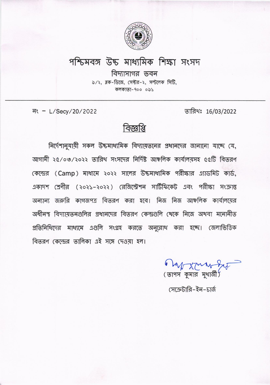

## পশ্চিমবঙ্গ উচ্চ মাধ্যমিক শিক্ষা সংসদ

বিদ্যাসাগর ভবন ৯/২, ব্লক-ডিজে, সেক্টর-২, সল্টলেক সিটি, কলকাতা-৭০০ ০৯১

नः - L/Secy/20/2022

তারিখঃ 16/03/2022

## বিজ্ঞপ্তি

নির্দেশানুযায়ী সকল উচ্চমাধ্যমিক বিদ্যায়তনের প্রধানদের জানানো যাচ্ছে যে, আগামী ২৫/০৩/২০২২ তারিখ সংসদের নির্দিষ্ট আঞ্চলিক কার্যালয়সহ ৫৫টি বিতরণ কেন্দ্রের (Camp) মাধ্যমে ২০২২ সালের উচ্চমাধ্যমিক পরীক্ষার এ্যাডমিট কার্ড, একাদশ শ্রেণীর (২০২১–২০২২) রেজিস্ট্রেশন সার্টিফিকেট এবং পরীক্ষা সংক্রান্ত অন্যান্য জরুরি কাগজপত্র বিতরণ করা হবে। নিজ নিজ আঞ্চলিক কার্যালয়ের অধীনস্থ বিদ্যায়ত্তনগুলির প্রধানদের বিতরণ কেন্দ্রগুলি থেকে নিজে অথবা মনোনীত প্রতিনিধিদের মাধ্যমে এগুলি সংগ্রহ করতে অনুরোধ করা হচ্ছে। জেলাভিত্তিক বিতরণ কেন্দ্রের তালিকা এই সঙ্গে দেওয়া হল।

6 mp xmm ( ভাপস কুমার মুখার্জী

সেক্রেটারি-ইন-চার্জ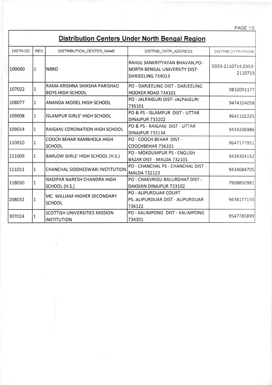**PAGE:1/5** 

## Distribution Centers Under North Bengal Region

| <b>DISTN CD</b> | <b>REG</b> | DISTRIBUTION_CENTER_NAME                                   | DISTRIB_CNTR_ADDRESS                                                                        | DISTRIB CNTR PHONE            |
|-----------------|------------|------------------------------------------------------------|---------------------------------------------------------------------------------------------|-------------------------------|
| 100000          | 1          | <b>NBRO</b>                                                | RAHUL SANKRITYAYAN BHAVAN, PO-<br><b>NORTH BENGAL UNIVERSITY DIST-</b><br>DARJEELING 734013 | 0353-2110714,0353-<br>2110715 |
| 107022          | 1          | RAMA KRISHNA SHIKSHA PARISHAD<br><b>BOYS HIGH SCHOOL</b>   | PO - DARJEELING DIST - DARJEELING<br>HOOKER ROAD 734101                                     | 9832091177                    |
| 108077          | 1          | ANANDA MODEL HIGH SCHOOL                                   | PO - JALPAIGURI DIST- JALPAIGURI<br>735101                                                  | 9474324058                    |
| 109008          | 1          | <b>ISLAMPUR GIRLS' HIGH SCHOOL</b>                         | PO & PS - ISLAMPUR DIST - UTTAR<br><b>DINAJPUR 733202</b>                                   | 9641102225                    |
| 109014          | 1          | RAIGANJ CORONATION HIGH SCHOOL                             | PO & PS - RAIGANJ DIST - UTTAR<br><b>DINAJPUR 733134</b>                                    | 9434206986                    |
| 110010          | 1          | COOCH BEHAR RAMBHOLA HIGH<br><b>SCHOOL</b>                 | PO - COOCH BEHAR DIST -<br>COOCHBEHAR 736101                                                | 9647177951                    |
| 111009          | 1          | BARLOW GIRLS' HIGH SCHOOL (H.S.)                           | PO - MOKDUMPUR PS - ENGLISH<br>BAZAR DIST - MALDA 732101                                    | 9434304152                    |
| 111011          | 1          | <b>CHANCHAL SIDDHESWARI INSTITUTION</b>                    | PO - CHANCHAL PS - CHANCHAL DIST -<br><b>MALDA 732123</b>                                   | 9434684705                    |
| 118030          | 1          | NADIPAR NARESH CHANDRA HIGH<br>SCHOOL (H.S.)               | PO - CHAKVRIGU BALURGHAT DIST -<br>DAKSHIN DINAJPUR 733102                                  | 7908850981                    |
| 208032          | 1          | MC. WILLIAM HIGHER SECONDARY<br><b>SCHOOL</b>              | <b>PO - ALIPURDUAR COURT</b><br>PS.: ALIPURDUAR DIST - ALIPURDUAR<br>736122                 | 9434177155                    |
| 307024          | 1          | <b>SCOTTISH UNIVERSITIES MISSION</b><br><b>INSTITUTION</b> | PO - KALIMPONG DIST - KALIMPONG<br>734301                                                   | 9547785899                    |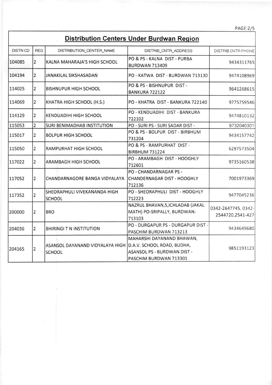PAGE:2/5

## Distribution Centers Under Burdwan Region

| <b>DISTN CD</b> | <b>REG</b>     | DISTRIBUTION_CENTER_NAME                                                    | DISTRIB_CNTR_ADDRESS                                                                      | <b>DISTRIB CNTR PHONE</b>               |
|-----------------|----------------|-----------------------------------------------------------------------------|-------------------------------------------------------------------------------------------|-----------------------------------------|
| 104085          | $\overline{2}$ | KALNA MAHARAJA'S HIGH SCHOOL                                                | PO & PS - KALNA DIST - PURBA<br><b>BURDWAN 713409</b>                                     | 9434311765                              |
| 104194          | 2              | <b>JANAKILAL SIKSHASADAN</b>                                                | PO - KATWA DIST - BURDWAN 713130                                                          | 9474108969                              |
| 114025          | $\overline{2}$ | <b>BISHNUPUR HIGH SCHOOL</b>                                                | PO & PS - BISHNUPUR DIST -<br>BANKURA 722122                                              | 9641268615                              |
| 114069          | 2              | KHATRA HIGH SCHOOL (H.S.)                                                   | PO - KHATRA DIST - BANKURA 722140                                                         | 9775759546                              |
| 114129          | $\overline{2}$ | <b>KENDUADIHI HIGH SCHOOL</b>                                               | PO - KENDUADIHI DIST - BANKURA<br>722102                                                  | 9474810132                              |
| 115053          | $\overline{2}$ | <b>SURI BENIMADHAB INSTITUTION</b>                                          | PO - SURI PS - SURI SADAR DIST -                                                          | 9732040301                              |
| 115017          | $\overline{2}$ | <b>BOLPUR HIGH SCHOOL</b>                                                   | PO & PS - BOLPUR DIST - BIRBHUM<br>731204                                                 | 9434157742                              |
| 115050          | $\overline{2}$ | RAMPURHAT HIGH SCHOOL                                                       | PO & PS - RAMPURHAT DIST -<br><b>BIRBHUM 731224</b>                                       | 6297573504                              |
| 117022          | 2              | <b>ARAMBAGH HIGH SCHOOL</b>                                                 | PO - ARAMBAGH DIST - HOOGHLY<br>712601                                                    | 9735160538                              |
| 117052          | $\overline{2}$ | CHANDARNAGORE BANGA VIDYALAYA CHANDERNAGAR DIST - HOOGHLY                   | PO - CHANDARNAGAR PS -<br>712136                                                          | 7001973369                              |
| 117352          | 2              | SHEORAPHULI VIVEKANANDA HIGH<br><b>SCHOOL</b>                               | PO - SHEORAPHULI DIST - HOOGHLY<br>712223                                                 | 9477045236                              |
| 200000          | 2              | <b>BRO</b>                                                                  | NAZRUL BHAVAN, 5, ICHLADAB (JAKAL<br>MATH) PO-SRIPALLY, BURDWAN-<br>713103                | 0342-2647745, 0342-<br>2544720,2541-427 |
| 204036          | $\overline{2}$ | <b>BHIRINGI T N INSTITUTION</b>                                             | PO - DURGAPUR PS - DURGAPUR DIST -<br>PASCHIM BURDWAN 713213                              | 9434649680                              |
| 204165          | 2              | ASANSOL DAYANAND VIDYALAYA HIGH D.A.V. SCHOOL ROAD, BUDHA,<br><b>SCHOOL</b> | MAHARSHI DAYANAND BHAWAN,<br><b>ASANSOL PS - BURDWAN DIST -</b><br>PASCHIM BURDWAN 713301 | 9851193123                              |